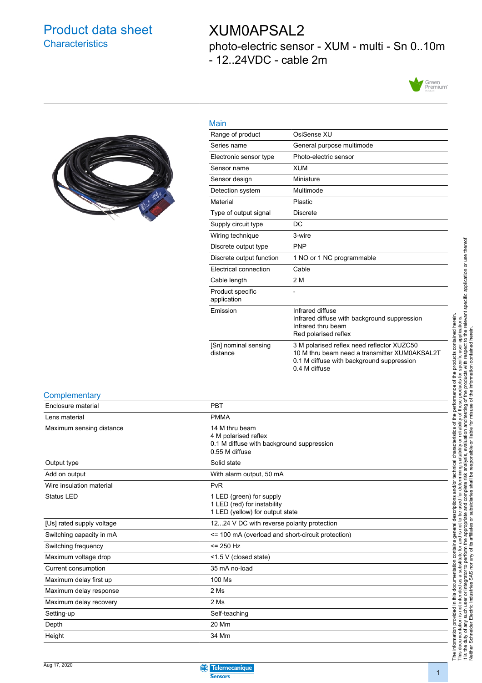### Product data sheet **Characteristics**

### XUM0APSAL2

photo-electric sensor - XUM - multi - Sn 0..10m - 12..24VDC - cable 2m





| Main                             |                                                                                                                                                           |
|----------------------------------|-----------------------------------------------------------------------------------------------------------------------------------------------------------|
| Range of product                 | OsiSense XU                                                                                                                                               |
| Series name                      | General purpose multimode                                                                                                                                 |
| Electronic sensor type           | Photo-electric sensor                                                                                                                                     |
| Sensor name                      | <b>XUM</b>                                                                                                                                                |
| Sensor design                    | Miniature                                                                                                                                                 |
| Detection system                 | Multimode                                                                                                                                                 |
| Material                         | <b>Plastic</b>                                                                                                                                            |
| Type of output signal            | <b>Discrete</b>                                                                                                                                           |
| Supply circuit type              | DC                                                                                                                                                        |
| Wiring technique                 | 3-wire                                                                                                                                                    |
| Discrete output type             | <b>PNP</b>                                                                                                                                                |
| Discrete output function         | 1 NO or 1 NC programmable                                                                                                                                 |
| Electrical connection            | Cable                                                                                                                                                     |
| Cable length                     | 2 M                                                                                                                                                       |
| Product specific<br>application  |                                                                                                                                                           |
| Emission                         | Infrared diffuse<br>Infrared diffuse with background suppression<br>Infrared thru beam<br>Red polarised reflex                                            |
| [Sn] nominal sensing<br>distance | 3 M polarised reflex need reflector XUZC50<br>10 M thru beam need a transmitter XUM0AKSAL2T<br>0.1 M diffuse with background suppression<br>0.4 M diffuse |

#### **Complementary**

| Enclosure material        | <b>PBT</b>                                                                                            |
|---------------------------|-------------------------------------------------------------------------------------------------------|
| Lens material             | <b>PMMA</b>                                                                                           |
| Maximum sensing distance  | 14 M thru beam<br>4 M polarised reflex<br>0.1 M diffuse with background suppression<br>0.55 M diffuse |
| Output type               | Solid state                                                                                           |
| Add on output             | With alarm output, 50 mA                                                                              |
| Wire insulation material  | PvR                                                                                                   |
| <b>Status LED</b>         | 1 LED (green) for supply<br>1 LED (red) for instability<br>1 LED (yellow) for output state            |
| [Us] rated supply voltage | 1224 V DC with reverse polarity protection                                                            |
| Switching capacity in mA  | <= 100 mA (overload and short-circuit protection)                                                     |
| Switching frequency       | $= 250$ Hz                                                                                            |
| Maximum voltage drop      | <1.5 V (closed state)                                                                                 |
| Current consumption       | 35 mA no-load                                                                                         |
| Maximum delay first up    | 100 Ms                                                                                                |
| Maximum delay response    | 2 Ms                                                                                                  |
| Maximum delay recovery    | 2 Ms                                                                                                  |
| Setting-up                | Self-teaching                                                                                         |
| Depth                     | 20 Mm                                                                                                 |
| Height                    | 34 Mm                                                                                                 |

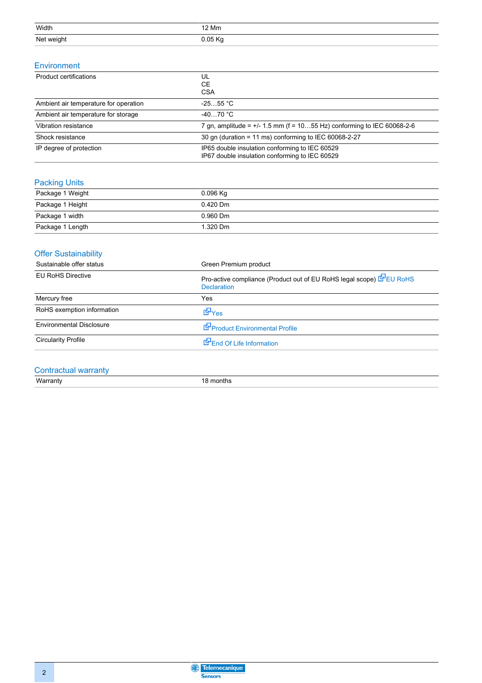| Width      | 12 Mm   |
|------------|---------|
| Net weight | 0.05 Kg |

#### Environment

| Product certifications                | UL<br><b>CE</b><br><b>CSA</b>                                                                    |
|---------------------------------------|--------------------------------------------------------------------------------------------------|
| Ambient air temperature for operation | $-2555$ °C                                                                                       |
| Ambient air temperature for storage   | $-4070 °C$                                                                                       |
| Vibration resistance                  | 7 gn, amplitude = $+/- 1.5$ mm (f = 1055 Hz) conforming to IEC 60068-2-6                         |
| Shock resistance                      | 30 gn (duration = 11 ms) conforming to IEC 60068-2-27                                            |
| IP degree of protection               | IP65 double insulation conforming to IEC 60529<br>IP67 double insulation conforming to IEC 60529 |

#### Packing Units

| Package 1 Weight | $0.096$ Kg |
|------------------|------------|
| Package 1 Height | $0.420$ Dm |
| Package 1 width  | $0.960$ Dm |
| Package 1 Length | 1.320 Dm   |

#### **Offer Sustainability**

| Sustainable offer status        | Green Premium product                                                                     |
|---------------------------------|-------------------------------------------------------------------------------------------|
| <b>EU RoHS Directive</b>        | Pro-active compliance (Product out of EU RoHS legal scope) EPU RoHS<br><b>Declaration</b> |
| Mercury free                    | Yes                                                                                       |
| RoHS exemption information      | <b>E</b> Yes                                                                              |
| <b>Environmental Disclosure</b> | Product Environmental Profile                                                             |
| <b>Circularity Profile</b>      | End Of Life Information                                                                   |
|                                 |                                                                                           |

#### Contractual warranty

Warranty 18 months

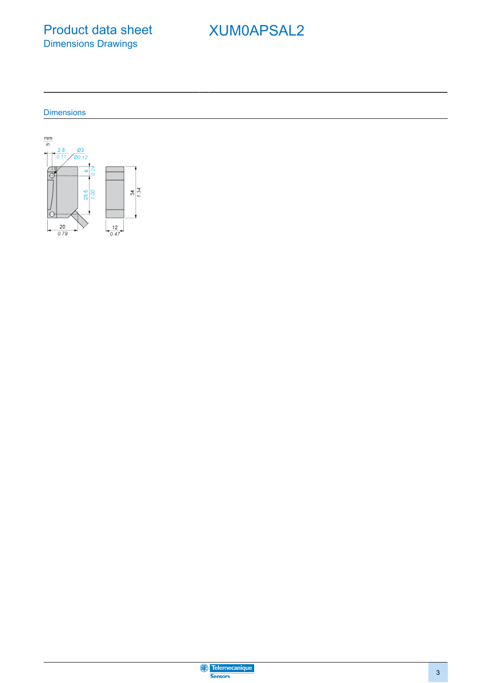Product data sheet Dimensions Drawings

# XUM0APSAL2

**Dimensions** 



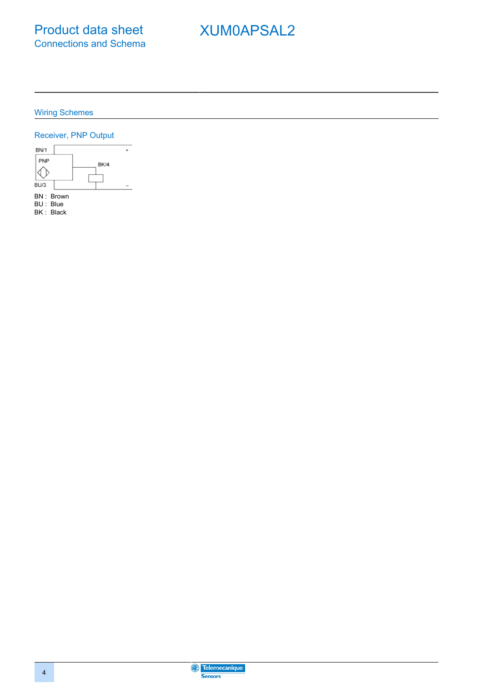## XUM0APSAL2

Wiring Schemes

#### Receiver, PNP Output



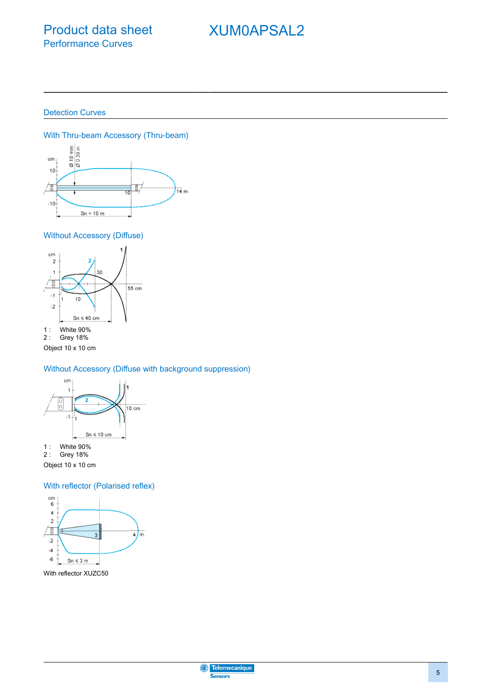### Product data sheet Performance Curves

### XUM0APSAL2

Detection Curves



Without Accessory (Diffuse)



Object 10 x 10 cm

Without Accessory (Diffuse with background suppression)



1 : White 90% 2 : Grey 18%

Object 10 x 10 cm

With reflector (Polarised reflex)